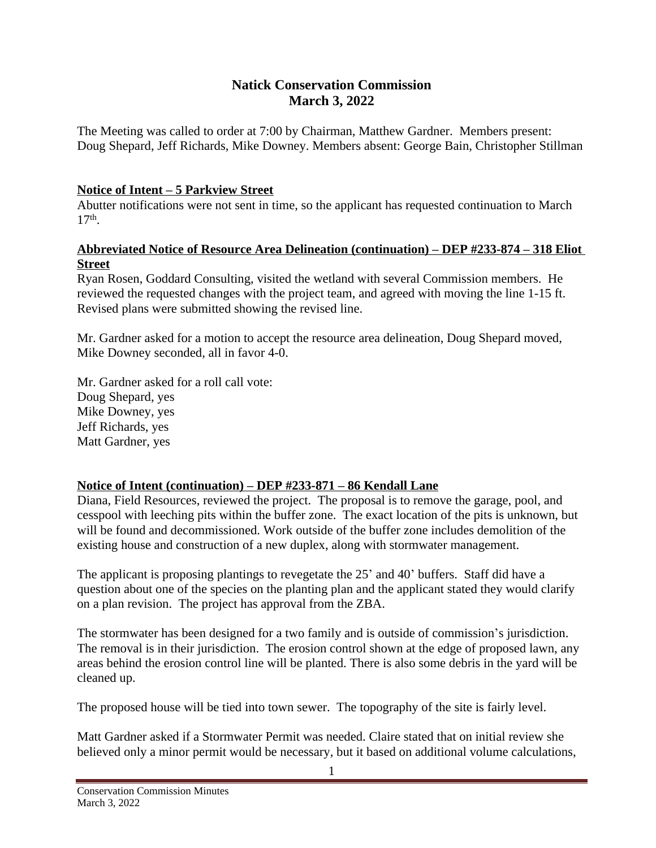## **Natick Conservation Commission March 3, 2022**

The Meeting was called to order at 7:00 by Chairman, Matthew Gardner. Members present: Doug Shepard, Jeff Richards, Mike Downey. Members absent: George Bain, Christopher Stillman

#### **Notice of Intent – 5 Parkview Street**

Abutter notifications were not sent in time, so the applicant has requested continuation to March 17th .

#### **Abbreviated Notice of Resource Area Delineation (continuation) – DEP #233-874 – 318 Eliot Street**

Ryan Rosen, Goddard Consulting, visited the wetland with several Commission members. He reviewed the requested changes with the project team, and agreed with moving the line 1-15 ft. Revised plans were submitted showing the revised line.

Mr. Gardner asked for a motion to accept the resource area delineation, Doug Shepard moved, Mike Downey seconded, all in favor 4-0.

Mr. Gardner asked for a roll call vote: Doug Shepard, yes Mike Downey, yes Jeff Richards, yes Matt Gardner, yes

### **Notice of Intent (continuation) – DEP #233-871 – 86 Kendall Lane**

Diana, Field Resources, reviewed the project. The proposal is to remove the garage, pool, and cesspool with leeching pits within the buffer zone. The exact location of the pits is unknown, but will be found and decommissioned. Work outside of the buffer zone includes demolition of the existing house and construction of a new duplex, along with stormwater management.

The applicant is proposing plantings to revegetate the 25' and 40' buffers. Staff did have a question about one of the species on the planting plan and the applicant stated they would clarify on a plan revision. The project has approval from the ZBA.

The stormwater has been designed for a two family and is outside of commission's jurisdiction. The removal is in their jurisdiction. The erosion control shown at the edge of proposed lawn, any areas behind the erosion control line will be planted. There is also some debris in the yard will be cleaned up.

The proposed house will be tied into town sewer. The topography of the site is fairly level.

Matt Gardner asked if a Stormwater Permit was needed. Claire stated that on initial review she believed only a minor permit would be necessary, but it based on additional volume calculations,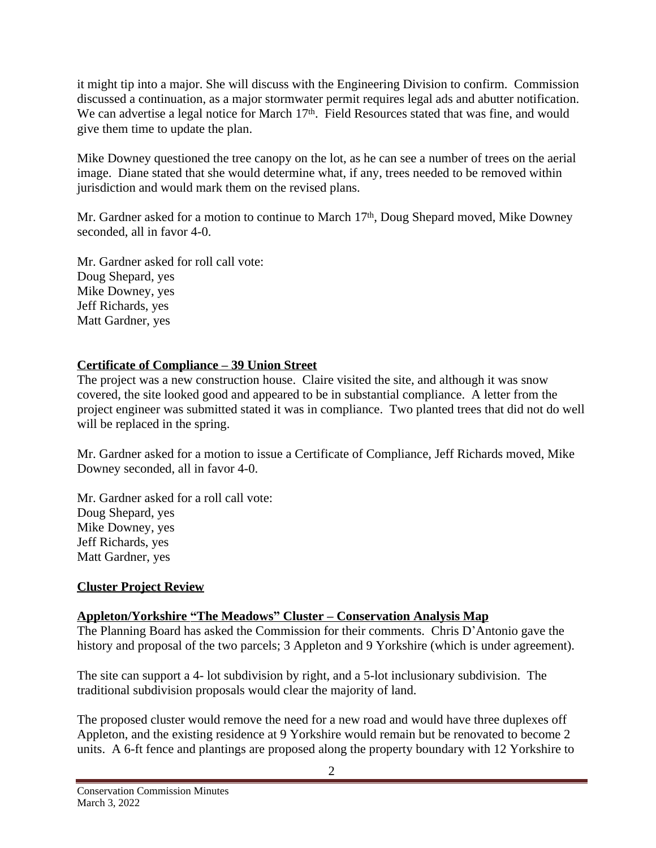it might tip into a major. She will discuss with the Engineering Division to confirm. Commission discussed a continuation, as a major stormwater permit requires legal ads and abutter notification. We can advertise a legal notice for March 17<sup>th</sup>. Field Resources stated that was fine, and would give them time to update the plan.

Mike Downey questioned the tree canopy on the lot, as he can see a number of trees on the aerial image. Diane stated that she would determine what, if any, trees needed to be removed within jurisdiction and would mark them on the revised plans.

Mr. Gardner asked for a motion to continue to March  $17<sup>th</sup>$ , Doug Shepard moved, Mike Downey seconded, all in favor 4-0.

Mr. Gardner asked for roll call vote: Doug Shepard, yes Mike Downey, yes Jeff Richards, yes Matt Gardner, yes

### **Certificate of Compliance – 39 Union Street**

The project was a new construction house. Claire visited the site, and although it was snow covered, the site looked good and appeared to be in substantial compliance. A letter from the project engineer was submitted stated it was in compliance. Two planted trees that did not do well will be replaced in the spring.

Mr. Gardner asked for a motion to issue a Certificate of Compliance, Jeff Richards moved, Mike Downey seconded, all in favor 4-0.

Mr. Gardner asked for a roll call vote: Doug Shepard, yes Mike Downey, yes Jeff Richards, yes Matt Gardner, yes

# **Cluster Project Review**

# **Appleton/Yorkshire "The Meadows" Cluster – Conservation Analysis Map**

The Planning Board has asked the Commission for their comments. Chris D'Antonio gave the history and proposal of the two parcels; 3 Appleton and 9 Yorkshire (which is under agreement).

The site can support a 4- lot subdivision by right, and a 5-lot inclusionary subdivision. The traditional subdivision proposals would clear the majority of land.

The proposed cluster would remove the need for a new road and would have three duplexes off Appleton, and the existing residence at 9 Yorkshire would remain but be renovated to become 2 units. A 6-ft fence and plantings are proposed along the property boundary with 12 Yorkshire to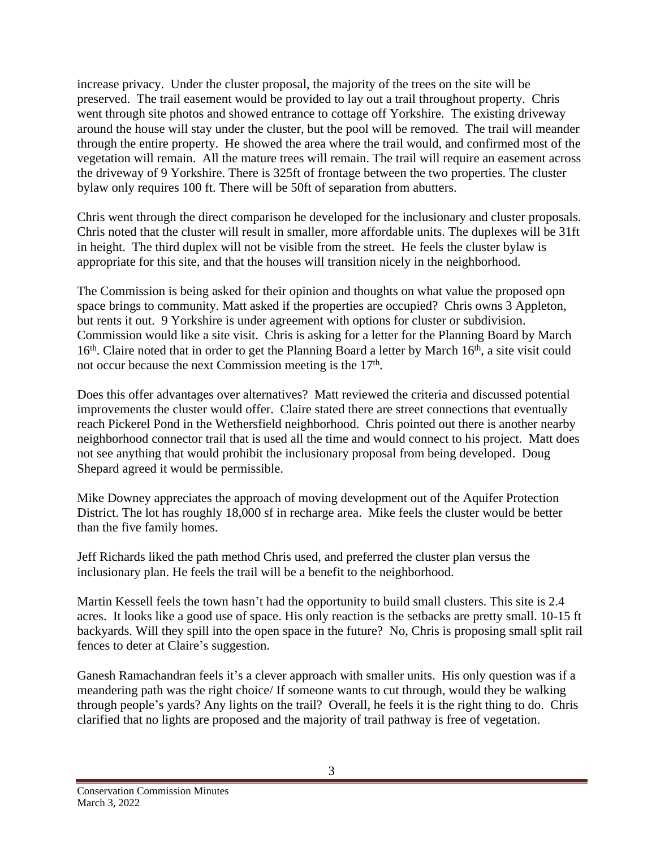increase privacy. Under the cluster proposal, the majority of the trees on the site will be preserved. The trail easement would be provided to lay out a trail throughout property. Chris went through site photos and showed entrance to cottage off Yorkshire. The existing driveway around the house will stay under the cluster, but the pool will be removed. The trail will meander through the entire property. He showed the area where the trail would, and confirmed most of the vegetation will remain. All the mature trees will remain. The trail will require an easement across the driveway of 9 Yorkshire. There is 325ft of frontage between the two properties. The cluster bylaw only requires 100 ft. There will be 50ft of separation from abutters.

Chris went through the direct comparison he developed for the inclusionary and cluster proposals. Chris noted that the cluster will result in smaller, more affordable units. The duplexes will be 31ft in height. The third duplex will not be visible from the street. He feels the cluster bylaw is appropriate for this site, and that the houses will transition nicely in the neighborhood.

The Commission is being asked for their opinion and thoughts on what value the proposed opn space brings to community. Matt asked if the properties are occupied? Chris owns 3 Appleton, but rents it out. 9 Yorkshire is under agreement with options for cluster or subdivision. Commission would like a site visit. Chris is asking for a letter for the Planning Board by March 16<sup>th</sup>. Claire noted that in order to get the Planning Board a letter by March 16<sup>th</sup>, a site visit could not occur because the next Commission meeting is the 17<sup>th</sup>.

Does this offer advantages over alternatives? Matt reviewed the criteria and discussed potential improvements the cluster would offer. Claire stated there are street connections that eventually reach Pickerel Pond in the Wethersfield neighborhood. Chris pointed out there is another nearby neighborhood connector trail that is used all the time and would connect to his project. Matt does not see anything that would prohibit the inclusionary proposal from being developed. Doug Shepard agreed it would be permissible.

Mike Downey appreciates the approach of moving development out of the Aquifer Protection District. The lot has roughly 18,000 sf in recharge area. Mike feels the cluster would be better than the five family homes.

Jeff Richards liked the path method Chris used, and preferred the cluster plan versus the inclusionary plan. He feels the trail will be a benefit to the neighborhood.

Martin Kessell feels the town hasn't had the opportunity to build small clusters. This site is 2.4 acres. It looks like a good use of space. His only reaction is the setbacks are pretty small. 10-15 ft backyards. Will they spill into the open space in the future? No, Chris is proposing small split rail fences to deter at Claire's suggestion.

Ganesh Ramachandran feels it's a clever approach with smaller units. His only question was if a meandering path was the right choice/ If someone wants to cut through, would they be walking through people's yards? Any lights on the trail? Overall, he feels it is the right thing to do. Chris clarified that no lights are proposed and the majority of trail pathway is free of vegetation.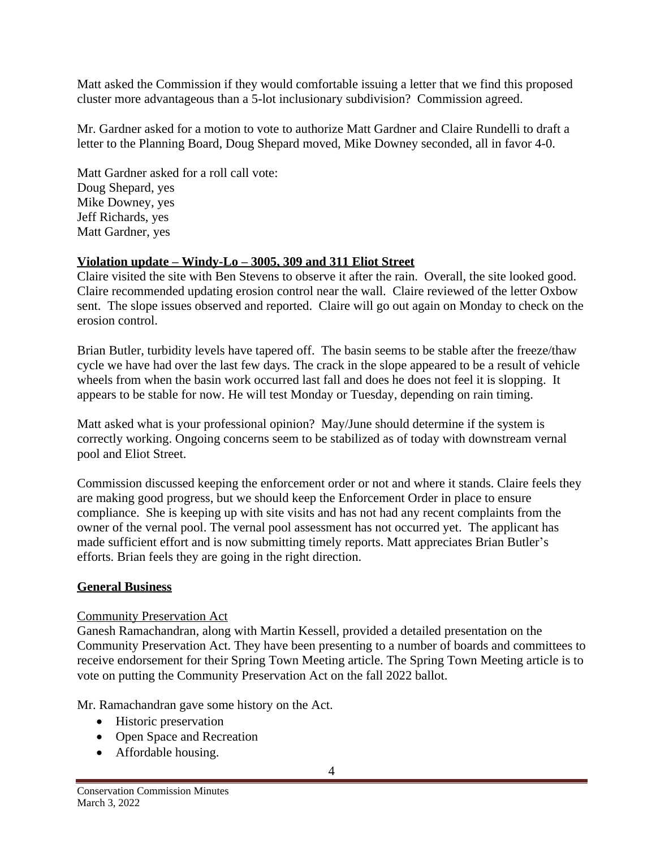Matt asked the Commission if they would comfortable issuing a letter that we find this proposed cluster more advantageous than a 5-lot inclusionary subdivision? Commission agreed.

Mr. Gardner asked for a motion to vote to authorize Matt Gardner and Claire Rundelli to draft a letter to the Planning Board, Doug Shepard moved, Mike Downey seconded, all in favor 4-0.

Matt Gardner asked for a roll call vote: Doug Shepard, yes Mike Downey, yes Jeff Richards, yes Matt Gardner, yes

## **Violation update – Windy-Lo – 3005, 309 and 311 Eliot Street**

Claire visited the site with Ben Stevens to observe it after the rain. Overall, the site looked good. Claire recommended updating erosion control near the wall. Claire reviewed of the letter Oxbow sent. The slope issues observed and reported. Claire will go out again on Monday to check on the erosion control.

Brian Butler, turbidity levels have tapered off. The basin seems to be stable after the freeze/thaw cycle we have had over the last few days. The crack in the slope appeared to be a result of vehicle wheels from when the basin work occurred last fall and does he does not feel it is slopping. It appears to be stable for now. He will test Monday or Tuesday, depending on rain timing.

Matt asked what is your professional opinion? May/June should determine if the system is correctly working. Ongoing concerns seem to be stabilized as of today with downstream vernal pool and Eliot Street.

Commission discussed keeping the enforcement order or not and where it stands. Claire feels they are making good progress, but we should keep the Enforcement Order in place to ensure compliance. She is keeping up with site visits and has not had any recent complaints from the owner of the vernal pool. The vernal pool assessment has not occurred yet. The applicant has made sufficient effort and is now submitting timely reports. Matt appreciates Brian Butler's efforts. Brian feels they are going in the right direction.

# **General Business**

### Community Preservation Act

Ganesh Ramachandran, along with Martin Kessell, provided a detailed presentation on the Community Preservation Act. They have been presenting to a number of boards and committees to receive endorsement for their Spring Town Meeting article. The Spring Town Meeting article is to vote on putting the Community Preservation Act on the fall 2022 ballot.

Mr. Ramachandran gave some history on the Act.

- Historic preservation
- Open Space and Recreation
- Affordable housing.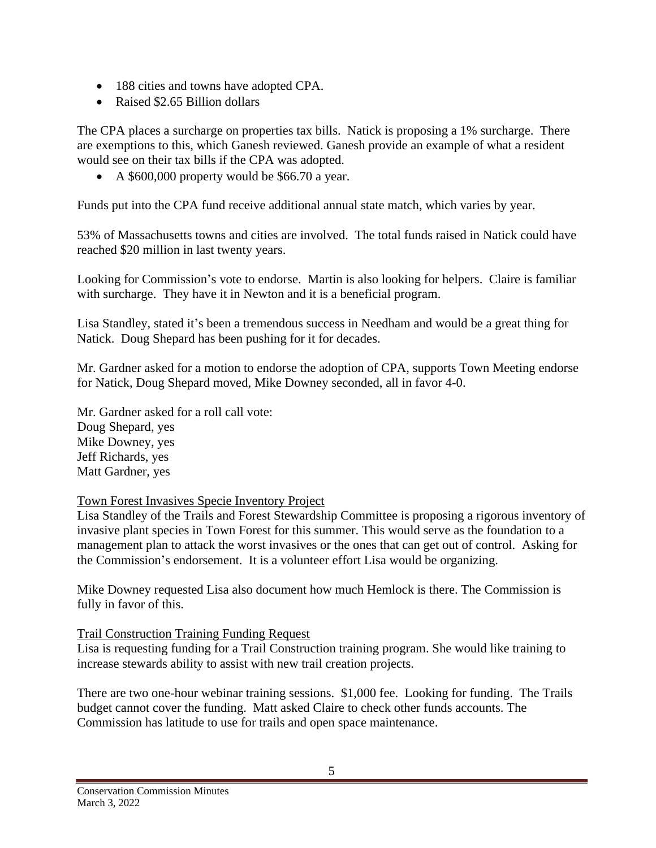- 188 cities and towns have adopted CPA.
- Raised \$2.65 Billion dollars

The CPA places a surcharge on properties tax bills. Natick is proposing a 1% surcharge. There are exemptions to this, which Ganesh reviewed. Ganesh provide an example of what a resident would see on their tax bills if the CPA was adopted.

A \$600,000 property would be \$66.70 a year.

Funds put into the CPA fund receive additional annual state match, which varies by year.

53% of Massachusetts towns and cities are involved. The total funds raised in Natick could have reached \$20 million in last twenty years.

Looking for Commission's vote to endorse. Martin is also looking for helpers. Claire is familiar with surcharge. They have it in Newton and it is a beneficial program.

Lisa Standley, stated it's been a tremendous success in Needham and would be a great thing for Natick. Doug Shepard has been pushing for it for decades.

Mr. Gardner asked for a motion to endorse the adoption of CPA, supports Town Meeting endorse for Natick, Doug Shepard moved, Mike Downey seconded, all in favor 4-0.

Mr. Gardner asked for a roll call vote: Doug Shepard, yes Mike Downey, yes Jeff Richards, yes Matt Gardner, yes

# Town Forest Invasives Specie Inventory Project

Lisa Standley of the Trails and Forest Stewardship Committee is proposing a rigorous inventory of invasive plant species in Town Forest for this summer. This would serve as the foundation to a management plan to attack the worst invasives or the ones that can get out of control. Asking for the Commission's endorsement. It is a volunteer effort Lisa would be organizing.

Mike Downey requested Lisa also document how much Hemlock is there. The Commission is fully in favor of this.

# Trail Construction Training Funding Request

Lisa is requesting funding for a Trail Construction training program. She would like training to increase stewards ability to assist with new trail creation projects.

There are two one-hour webinar training sessions. \$1,000 fee. Looking for funding. The Trails budget cannot cover the funding. Matt asked Claire to check other funds accounts. The Commission has latitude to use for trails and open space maintenance.